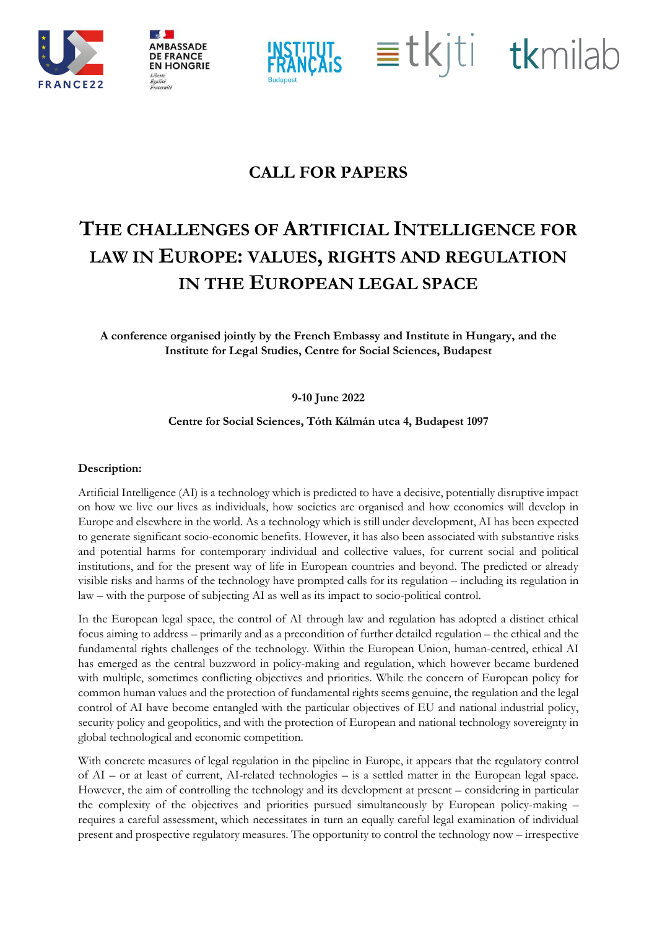





# ≡tkjti tkmilab

### **CALL FOR PAPERS**

## **THE CHALLENGES OF ARTIFICIAL INTELLIGENCE FOR LAW IN EUROPE: VALUES, RIGHTS AND REGULATION IN THE EUROPEAN LEGAL SPACE**

**A conference organised jointly by the French Embassy and Institute in Hungary, and the Institute for Legal Studies, Centre for Social Sciences, Budapest**

#### **9-10 June 2022**

#### **Centre for Social Sciences, Tóth Kálmán utca 4, Budapest 1097**

#### **Description:**

Artificial Intelligence (AI) is a technology which is predicted to have a decisive, potentially disruptive impact on how we live our lives as individuals, how societies are organised and how economies will develop in Europe and elsewhere in the world. As a technology which is still under development, AI has been expected to generate significant socio-economic benefits. However, it has also been associated with substantive risks and potential harms for contemporary individual and collective values, for current social and political institutions, and for the present way of life in European countries and beyond. The predicted or already visible risks and harms of the technology have prompted calls for its regulation – including its regulation in law – with the purpose of subjecting AI as well as its impact to socio-political control.

In the European legal space, the control of AI through law and regulation has adopted a distinct ethical focus aiming to address – primarily and as a precondition of further detailed regulation – the ethical and the fundamental rights challenges of the technology. Within the European Union, human-centred, ethical AI has emerged as the central buzzword in policy-making and regulation, which however became burdened with multiple, sometimes conflicting objectives and priorities. While the concern of European policy for common human values and the protection of fundamental rights seems genuine, the regulation and the legal control of AI have become entangled with the particular objectives of EU and national industrial policy, security policy and geopolitics, and with the protection of European and national technology sovereignty in global technological and economic competition.

With concrete measures of legal regulation in the pipeline in Europe, it appears that the regulatory control of AI – or at least of current, AI-related technologies – is a settled matter in the European legal space. However, the aim of controlling the technology and its development at present – considering in particular the complexity of the objectives and priorities pursued simultaneously by European policy-making – requires a careful assessment, which necessitates in turn an equally careful legal examination of individual present and prospective regulatory measures. The opportunity to control the technology now – irrespective